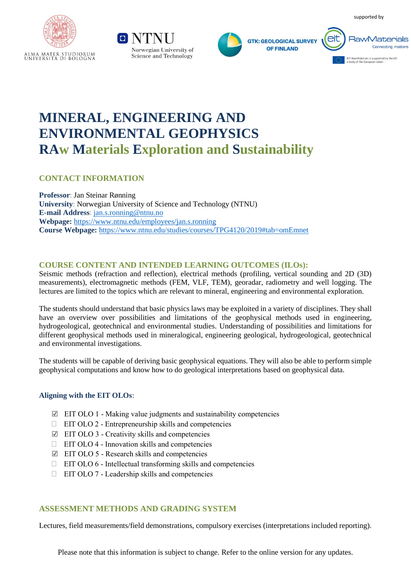supported by







# **MINERAL, ENGINEERING AND ENVIRONMENTAL GEOPHYSICS RAw Materials Exploration and Sustainability**

# **CONTACT INFORMATION**

**Professor**: Jan Steinar Rønning **University**: Norwegian University of Science and Technology (NTNU) **E-mail Address**: [jan.s.ronning@ntnu.no](mailto:jan.s.ronning@ntnu.no) **Webpage:** <https://www.ntnu.edu/employees/jan.s.ronning> **Course Webpage:** <https://www.ntnu.edu/studies/courses/TPG4120/2019#tab=omEmnet>

# **COURSE CONTENT AND INTENDED LEARNING OUTCOMES (ILOs):**

Seismic methods (refraction and reflection), electrical methods (profiling, vertical sounding and 2D (3D) measurements), electromagnetic methods (FEM, VLF, TEM), georadar, radiometry and well logging. The lectures are limited to the topics which are relevant to mineral, engineering and environmental exploration.

The students should understand that basic physics laws may be exploited in a variety of disciplines. They shall have an overview over possibilities and limitations of the geophysical methods used in engineering, hydrogeological, geotechnical and environmental studies. Understanding of possibilities and limitations for different geophysical methods used in mineralogical, engineering geological, hydrogeological, geotechnical and environmental investigations.

The students will be capable of deriving basic geophysical equations. They will also be able to perform simple geophysical computations and know how to do geological interpretations based on geophysical data.

### **Aligning with the EIT OLOs:**

- $\boxtimes$  EIT OLO 1 Making value judgments and sustainability competencies
- $\Box$  EIT OLO 2 Entrepreneurship skills and competencies
- ☑ EIT OLO 3 Creativity skills and competencies
- $\Box$  EIT OLO 4 Innovation skills and competencies
- ☑ EIT OLO 5 Research skills and competencies
- $\Box$  EIT OLO 6 Intellectual transforming skills and competencies
- $\Box$  EIT OLO 7 Leadership skills and competencies

### **ASSESSMENT METHODS AND GRADING SYSTEM**

Lectures, field measurements/field demonstrations, compulsory exercises (interpretations included reporting).

Please note that this information is subject to change. Refer to the online version for any updates.